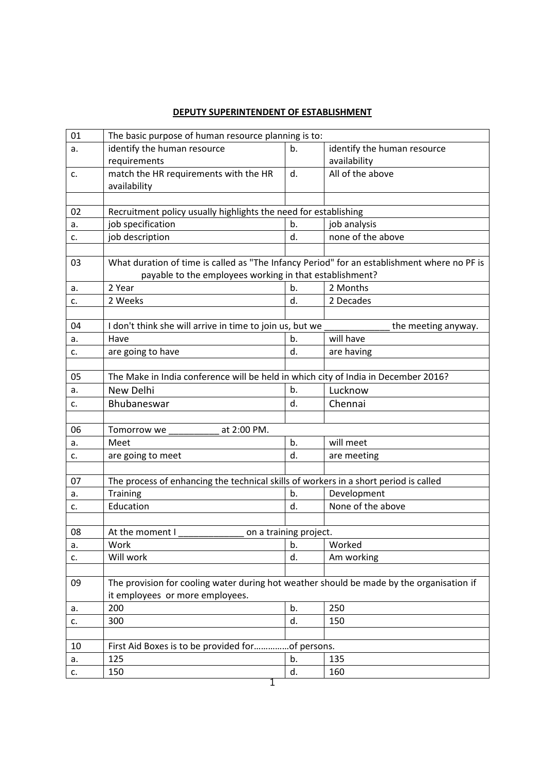## **DEPUTY SUPERINTENDENT OF ESTABLISHMENT**

| 01 | The basic purpose of human resource planning is to:                                         |                        |                             |  |
|----|---------------------------------------------------------------------------------------------|------------------------|-----------------------------|--|
| a. | identify the human resource                                                                 | b.                     | identify the human resource |  |
|    | requirements                                                                                |                        | availability                |  |
| c. | match the HR requirements with the HR                                                       | d.                     | All of the above            |  |
|    | availability                                                                                |                        |                             |  |
|    |                                                                                             |                        |                             |  |
| 02 | Recruitment policy usually highlights the need for establishing                             |                        |                             |  |
| a. | job specification                                                                           | b.                     | job analysis                |  |
| c. | job description                                                                             | d.                     | none of the above           |  |
|    |                                                                                             |                        |                             |  |
| 03 | What duration of time is called as "The Infancy Period" for an establishment where no PF is |                        |                             |  |
|    | payable to the employees working in that establishment?                                     |                        |                             |  |
| a. | 2 Year                                                                                      | b.                     | 2 Months                    |  |
| c. | 2 Weeks                                                                                     | d.                     | 2 Decades                   |  |
|    |                                                                                             |                        |                             |  |
| 04 | I don't think she will arrive in time to join us, but we                                    |                        | the meeting anyway.         |  |
| a. | Have                                                                                        | b.                     | will have                   |  |
| c. | are going to have                                                                           | d.                     | are having                  |  |
|    |                                                                                             |                        |                             |  |
| 05 | The Make in India conference will be held in which city of India in December 2016?          |                        |                             |  |
| a. | New Delhi                                                                                   | b.                     | Lucknow                     |  |
| c. | Bhubaneswar                                                                                 | d.                     | Chennai                     |  |
|    |                                                                                             |                        |                             |  |
| 06 | at 2:00 PM.<br>Tomorrow we                                                                  |                        |                             |  |
| a. | Meet                                                                                        | b.                     | will meet                   |  |
| c. | are going to meet                                                                           | d.                     | are meeting                 |  |
|    |                                                                                             |                        |                             |  |
| 07 | The process of enhancing the technical skills of workers in a short period is called        |                        |                             |  |
| a. | Training                                                                                    | b.                     | Development                 |  |
| c. | Education                                                                                   | d.                     | None of the above           |  |
|    |                                                                                             |                        |                             |  |
| 08 | At the moment I                                                                             | on a training project. |                             |  |
| a. | Work                                                                                        | b.                     | Worked                      |  |
| c. | Will work                                                                                   | d.                     | Am working                  |  |
|    |                                                                                             |                        |                             |  |
| 09 | The provision for cooling water during hot weather should be made by the organisation if    |                        |                             |  |
|    | it employees or more employees.                                                             |                        |                             |  |
| a. | 200                                                                                         | b.                     | 250                         |  |
| c. | 300                                                                                         | d.                     | 150                         |  |
|    |                                                                                             |                        |                             |  |
| 10 | First Aid Boxes is to be provided forof persons.                                            |                        |                             |  |
| a. | 125                                                                                         | b.                     | 135                         |  |
| c. | 150                                                                                         | d.                     | 160                         |  |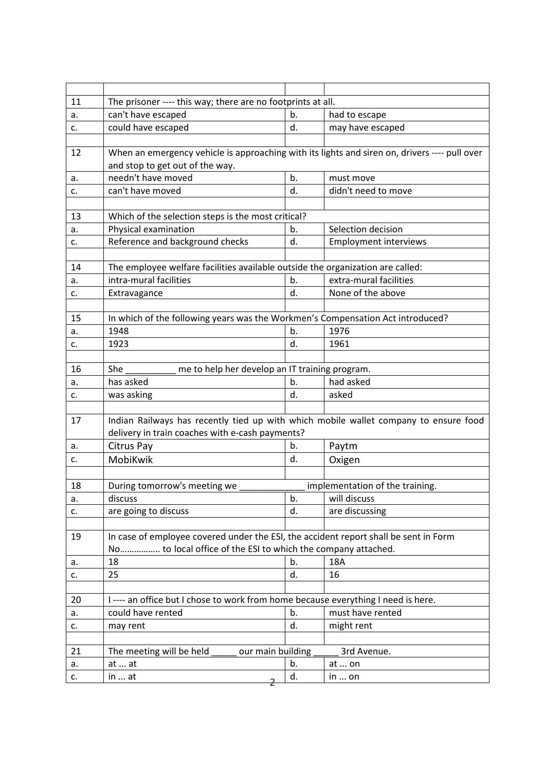| 11 | The prisoner ---- this way; there are no footprints at all.                                   |    |                                 |  |  |  |  |
|----|-----------------------------------------------------------------------------------------------|----|---------------------------------|--|--|--|--|
| a. | can't have escaped                                                                            | b. | had to escape                   |  |  |  |  |
| c. | could have escaped                                                                            | d. | may have escaped                |  |  |  |  |
|    |                                                                                               |    |                                 |  |  |  |  |
| 12 | When an emergency vehicle is approaching with its lights and siren on, drivers ---- pull over |    |                                 |  |  |  |  |
|    | and stop to get out of the way.                                                               |    |                                 |  |  |  |  |
| a. | needn't have moved                                                                            | b. | must move                       |  |  |  |  |
| c. | can't have moved                                                                              | d. | didn't need to move             |  |  |  |  |
|    |                                                                                               |    |                                 |  |  |  |  |
| 13 | Which of the selection steps is the most critical?                                            |    |                                 |  |  |  |  |
| a. | Physical examination                                                                          | b. | Selection decision              |  |  |  |  |
| c. | Reference and background checks                                                               | d. | <b>Employment interviews</b>    |  |  |  |  |
|    |                                                                                               |    |                                 |  |  |  |  |
| 14 | The employee welfare facilities available outside the organization are called:                |    |                                 |  |  |  |  |
| a. | intra-mural facilities                                                                        | b. | extra-mural facilities          |  |  |  |  |
| c. | Extravagance                                                                                  | d. | None of the above               |  |  |  |  |
|    |                                                                                               |    |                                 |  |  |  |  |
| 15 | In which of the following years was the Workmen's Compensation Act introduced?                |    |                                 |  |  |  |  |
| a. | 1948                                                                                          | b. | 1976                            |  |  |  |  |
| c. | 1923                                                                                          | d. | 1961                            |  |  |  |  |
|    |                                                                                               |    |                                 |  |  |  |  |
| 16 | me to help her develop an IT training program.<br>She                                         |    |                                 |  |  |  |  |
| а. | has asked                                                                                     | b. | had asked                       |  |  |  |  |
| c. | was asking                                                                                    | d. | asked                           |  |  |  |  |
|    |                                                                                               |    |                                 |  |  |  |  |
| 17 | Indian Railways has recently tied up with which mobile wallet company to ensure food          |    |                                 |  |  |  |  |
|    | delivery in train coaches with e-cash payments?                                               |    |                                 |  |  |  |  |
| а. | Citrus Pay                                                                                    | b. | Paytm                           |  |  |  |  |
| c. | MobiKwik                                                                                      | d. | Oxigen                          |  |  |  |  |
|    |                                                                                               |    |                                 |  |  |  |  |
| 18 | During tomorrow's meeting we                                                                  |    | implementation of the training. |  |  |  |  |
| a. | discuss                                                                                       | b. | will discuss                    |  |  |  |  |
| c. | are going to discuss                                                                          | d. | are discussing                  |  |  |  |  |
|    |                                                                                               |    |                                 |  |  |  |  |
| 19 | In case of employee covered under the ESI, the accident report shall be sent in Form          |    |                                 |  |  |  |  |
|    | No to local office of the ESI to which the company attached.                                  |    |                                 |  |  |  |  |
| a. | 18                                                                                            | b. | 18A                             |  |  |  |  |
| c. | 25                                                                                            | d. | 16                              |  |  |  |  |
|    |                                                                                               |    |                                 |  |  |  |  |
| 20 | I---- an office but I chose to work from home because everything I need is here.              |    |                                 |  |  |  |  |
| a. | could have rented                                                                             | b. | must have rented                |  |  |  |  |
| c. | may rent                                                                                      | d. | might rent                      |  |  |  |  |
|    |                                                                                               |    |                                 |  |  |  |  |
| 21 | The meeting will be held<br>our main building                                                 |    | 3rd Avenue.                     |  |  |  |  |
| a. | at  at                                                                                        | b. | at  on                          |  |  |  |  |
| c. | in  at                                                                                        | d. | in $\ldots$ on                  |  |  |  |  |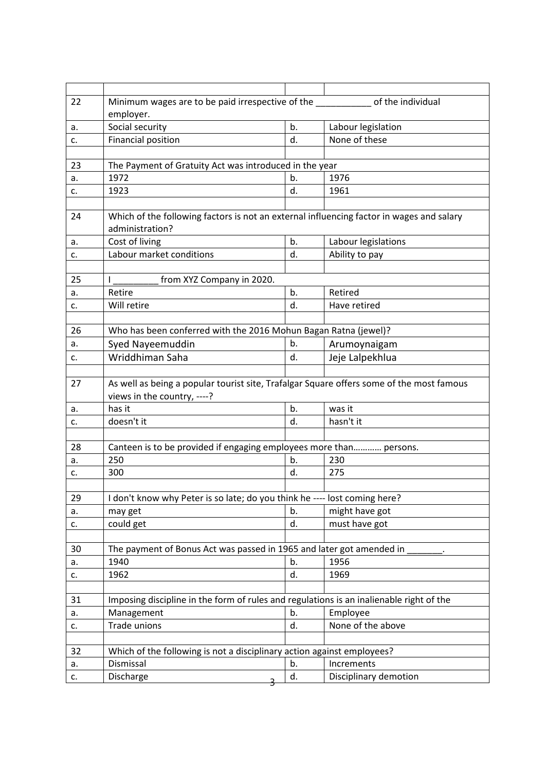| 22       | Minimum wages are to be paid irrespective of the same same of the individual                                |    |                       |  |  |  |  |  |
|----------|-------------------------------------------------------------------------------------------------------------|----|-----------------------|--|--|--|--|--|
|          | employer.                                                                                                   |    |                       |  |  |  |  |  |
| a.       | Social security                                                                                             | b. | Labour legislation    |  |  |  |  |  |
| c.       | <b>Financial position</b>                                                                                   | d. | None of these         |  |  |  |  |  |
|          |                                                                                                             |    |                       |  |  |  |  |  |
| 23       | The Payment of Gratuity Act was introduced in the year                                                      |    |                       |  |  |  |  |  |
| a.       | 1972                                                                                                        | b. | 1976                  |  |  |  |  |  |
| c.       | 1923                                                                                                        | d. | 1961                  |  |  |  |  |  |
|          |                                                                                                             |    |                       |  |  |  |  |  |
| 24       | Which of the following factors is not an external influencing factor in wages and salary<br>administration? |    |                       |  |  |  |  |  |
| a.       | Cost of living                                                                                              | b. | Labour legislations   |  |  |  |  |  |
| c.       | Labour market conditions                                                                                    | d. | Ability to pay        |  |  |  |  |  |
|          |                                                                                                             |    |                       |  |  |  |  |  |
| 25       | from XYZ Company in 2020.<br>T                                                                              |    |                       |  |  |  |  |  |
| a.       | Retire                                                                                                      | b. | Retired               |  |  |  |  |  |
| c.       | Will retire                                                                                                 | d. | Have retired          |  |  |  |  |  |
|          |                                                                                                             |    |                       |  |  |  |  |  |
| 26       | Who has been conferred with the 2016 Mohun Bagan Ratna (jewel)?                                             |    |                       |  |  |  |  |  |
| a.       | Syed Nayeemuddin                                                                                            | b. | Arumoynaigam          |  |  |  |  |  |
| c.       | Wriddhiman Saha                                                                                             | d. | Jeje Lalpekhlua       |  |  |  |  |  |
|          |                                                                                                             |    |                       |  |  |  |  |  |
| 27       | As well as being a popular tourist site, Trafalgar Square offers some of the most famous                    |    |                       |  |  |  |  |  |
|          | views in the country, ----?<br>has it                                                                       | b. | was it                |  |  |  |  |  |
| a.<br>c. | doesn't it                                                                                                  | d. | hasn't it             |  |  |  |  |  |
|          |                                                                                                             |    |                       |  |  |  |  |  |
| 28       | Canteen is to be provided if engaging employees more than persons.                                          |    |                       |  |  |  |  |  |
| a.       | 250                                                                                                         | b. | 230                   |  |  |  |  |  |
| c.       | 300                                                                                                         | d. | 275                   |  |  |  |  |  |
|          |                                                                                                             |    |                       |  |  |  |  |  |
| 29       | I don't know why Peter is so late; do you think he ---- lost coming here?                                   |    |                       |  |  |  |  |  |
| a.       | may get                                                                                                     | b. | might have got        |  |  |  |  |  |
| c.       | could get                                                                                                   | d. | must have got         |  |  |  |  |  |
|          |                                                                                                             |    |                       |  |  |  |  |  |
| 30       | The payment of Bonus Act was passed in 1965 and later got amended in                                        |    |                       |  |  |  |  |  |
| а.       | 1940                                                                                                        | b. | 1956                  |  |  |  |  |  |
| c.       | 1962                                                                                                        | d. | 1969                  |  |  |  |  |  |
|          |                                                                                                             |    |                       |  |  |  |  |  |
| 31       | Imposing discipline in the form of rules and regulations is an inalienable right of the                     |    |                       |  |  |  |  |  |
| a.       | Management                                                                                                  | b. | Employee              |  |  |  |  |  |
| c.       | Trade unions                                                                                                | d. | None of the above     |  |  |  |  |  |
|          |                                                                                                             |    |                       |  |  |  |  |  |
| 32       | Which of the following is not a disciplinary action against employees?<br>Dismissal                         |    | Increments            |  |  |  |  |  |
| a.       |                                                                                                             | b. |                       |  |  |  |  |  |
| c.       | Discharge                                                                                                   | d. | Disciplinary demotion |  |  |  |  |  |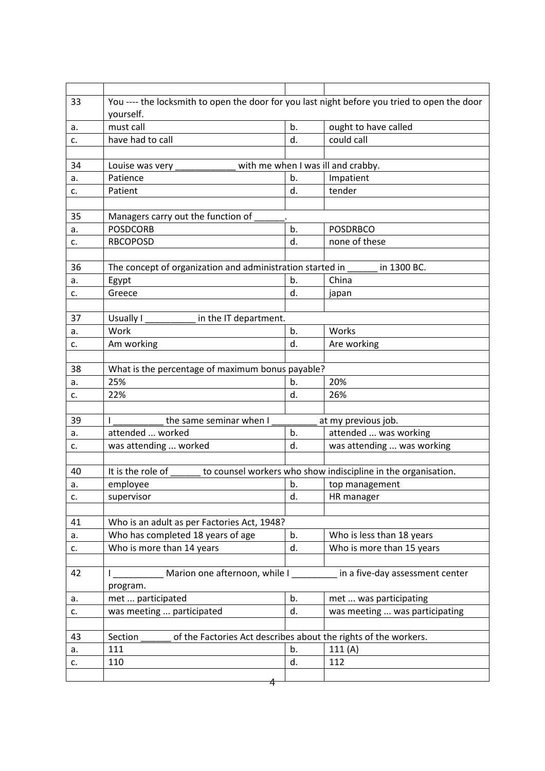| 33 | You ---- the locksmith to open the door for you last night before you tried to open the door |    |                                                               |  |  |  |
|----|----------------------------------------------------------------------------------------------|----|---------------------------------------------------------------|--|--|--|
|    | yourself.                                                                                    |    |                                                               |  |  |  |
| а. | must call                                                                                    | b. | ought to have called                                          |  |  |  |
| c. | have had to call                                                                             | d. | could call                                                    |  |  |  |
|    |                                                                                              |    |                                                               |  |  |  |
| 34 | Louise was very                                                                              |    | with me when I was ill and crabby.                            |  |  |  |
| a. | Patience                                                                                     | b. | Impatient                                                     |  |  |  |
| c. | Patient                                                                                      | d. | tender                                                        |  |  |  |
| 35 | Managers carry out the function of                                                           |    |                                                               |  |  |  |
| a. | <b>POSDCORB</b>                                                                              | b. | <b>POSDRBCO</b>                                               |  |  |  |
| c. | <b>RBCOPOSD</b>                                                                              | d. | none of these                                                 |  |  |  |
|    |                                                                                              |    |                                                               |  |  |  |
| 36 | The concept of organization and administration started in                                    |    | in 1300 BC.                                                   |  |  |  |
| a. | Egypt                                                                                        | b. | China                                                         |  |  |  |
| c. | Greece                                                                                       | d. | japan                                                         |  |  |  |
|    |                                                                                              |    |                                                               |  |  |  |
| 37 | in the IT department.<br>Usually I                                                           |    |                                                               |  |  |  |
| a. | Work                                                                                         | b. | Works                                                         |  |  |  |
| c. | Am working                                                                                   | d. | Are working                                                   |  |  |  |
|    |                                                                                              |    |                                                               |  |  |  |
| 38 | What is the percentage of maximum bonus payable?                                             |    |                                                               |  |  |  |
| a. | 25%                                                                                          | b. | 20%                                                           |  |  |  |
| c. | 22%                                                                                          | d. | 26%                                                           |  |  |  |
|    |                                                                                              |    |                                                               |  |  |  |
| 39 | the same seminar when I                                                                      |    | at my previous job.                                           |  |  |  |
| a. | attended  worked                                                                             | b. | attended  was working                                         |  |  |  |
| c. | was attending  worked                                                                        | d. | was attending  was working                                    |  |  |  |
| 40 | It is the role of                                                                            |    | to counsel workers who show indiscipline in the organisation. |  |  |  |
| a. | employee                                                                                     | b. | top management                                                |  |  |  |
| c. | supervisor                                                                                   | d. | HR manager                                                    |  |  |  |
|    |                                                                                              |    |                                                               |  |  |  |
| 41 | Who is an adult as per Factories Act, 1948?                                                  |    |                                                               |  |  |  |
| a. | Who has completed 18 years of age                                                            | b. | Who is less than 18 years                                     |  |  |  |
| c. | Who is more than 14 years                                                                    | d. | Who is more than 15 years                                     |  |  |  |
|    |                                                                                              |    |                                                               |  |  |  |
| 42 | Marion one afternoon, while I                                                                |    | in a five-day assessment center                               |  |  |  |
|    | program.                                                                                     |    |                                                               |  |  |  |
| a. | met  participated                                                                            | b. | met  was participating                                        |  |  |  |
| c. | was meeting  participated                                                                    | d. | was meeting  was participating                                |  |  |  |
|    |                                                                                              |    |                                                               |  |  |  |
| 43 | of the Factories Act describes about the rights of the workers.<br>Section                   |    |                                                               |  |  |  |
| a. | 111                                                                                          | b. | 111(A)                                                        |  |  |  |
| c. | 110                                                                                          | d. | 112                                                           |  |  |  |
|    |                                                                                              |    |                                                               |  |  |  |
|    | 4                                                                                            |    |                                                               |  |  |  |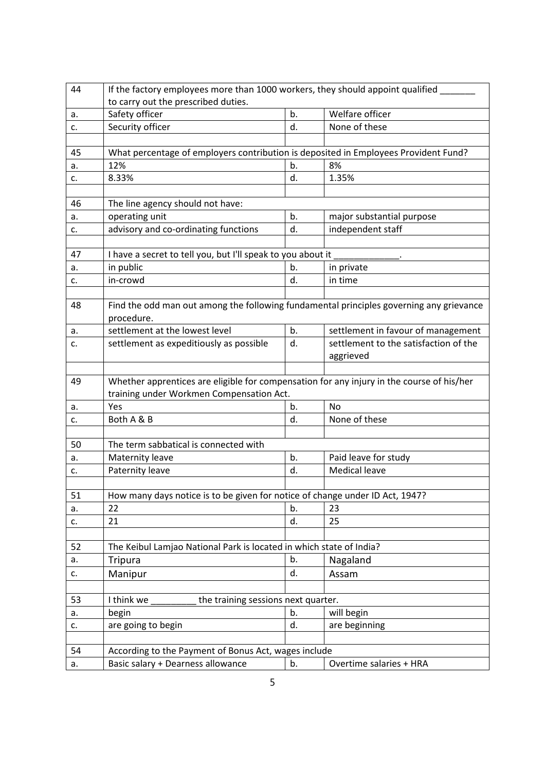| 44 | If the factory employees more than 1000 workers, they should appoint qualified                                                        |    |                                       |  |  |  |  |  |
|----|---------------------------------------------------------------------------------------------------------------------------------------|----|---------------------------------------|--|--|--|--|--|
| a. | to carry out the prescribed duties.<br>Safety officer                                                                                 | b. | Welfare officer                       |  |  |  |  |  |
| c. | Security officer                                                                                                                      | d. | None of these                         |  |  |  |  |  |
|    |                                                                                                                                       |    |                                       |  |  |  |  |  |
| 45 |                                                                                                                                       |    |                                       |  |  |  |  |  |
| a. | What percentage of employers contribution is deposited in Employees Provident Fund?<br>12%<br>8%<br>b.                                |    |                                       |  |  |  |  |  |
| c. | 8.33%                                                                                                                                 | d. | 1.35%                                 |  |  |  |  |  |
|    |                                                                                                                                       |    |                                       |  |  |  |  |  |
| 46 | The line agency should not have:                                                                                                      |    |                                       |  |  |  |  |  |
| a. | operating unit                                                                                                                        | b. | major substantial purpose             |  |  |  |  |  |
| c. | advisory and co-ordinating functions                                                                                                  | d. | independent staff                     |  |  |  |  |  |
|    |                                                                                                                                       |    |                                       |  |  |  |  |  |
| 47 | I have a secret to tell you, but I'll speak to you about it                                                                           |    |                                       |  |  |  |  |  |
| a. | in public                                                                                                                             | b. | in private                            |  |  |  |  |  |
| c. | in-crowd                                                                                                                              | d. | in time                               |  |  |  |  |  |
|    |                                                                                                                                       |    |                                       |  |  |  |  |  |
| 48 | Find the odd man out among the following fundamental principles governing any grievance                                               |    |                                       |  |  |  |  |  |
|    | procedure.                                                                                                                            |    |                                       |  |  |  |  |  |
| а. | settlement at the lowest level                                                                                                        | b. | settlement in favour of management    |  |  |  |  |  |
| c. | settlement as expeditiously as possible                                                                                               | d. | settlement to the satisfaction of the |  |  |  |  |  |
|    |                                                                                                                                       |    | aggrieved                             |  |  |  |  |  |
|    |                                                                                                                                       |    |                                       |  |  |  |  |  |
|    |                                                                                                                                       |    |                                       |  |  |  |  |  |
| 49 |                                                                                                                                       |    |                                       |  |  |  |  |  |
|    | Whether apprentices are eligible for compensation for any injury in the course of his/her<br>training under Workmen Compensation Act. |    |                                       |  |  |  |  |  |
| a. | Yes                                                                                                                                   | b. | <b>No</b>                             |  |  |  |  |  |
| c. | Both A & B                                                                                                                            | d. | None of these                         |  |  |  |  |  |
|    |                                                                                                                                       |    |                                       |  |  |  |  |  |
| 50 | The term sabbatical is connected with                                                                                                 |    |                                       |  |  |  |  |  |
| a. | Maternity leave                                                                                                                       | b. | Paid leave for study                  |  |  |  |  |  |
| c. | Paternity leave                                                                                                                       | d. | <b>Medical leave</b>                  |  |  |  |  |  |
|    |                                                                                                                                       |    |                                       |  |  |  |  |  |
| 51 | How many days notice is to be given for notice of change under ID Act, 1947?                                                          |    |                                       |  |  |  |  |  |
| а. | 22                                                                                                                                    | b. | 23                                    |  |  |  |  |  |
| c. | 21                                                                                                                                    | d. | 25                                    |  |  |  |  |  |
|    |                                                                                                                                       |    |                                       |  |  |  |  |  |
| 52 | The Keibul Lamjao National Park is located in which state of India?                                                                   |    |                                       |  |  |  |  |  |
| a. | <b>Tripura</b>                                                                                                                        | b. | Nagaland                              |  |  |  |  |  |
| c. | Manipur                                                                                                                               | d. | Assam                                 |  |  |  |  |  |
|    |                                                                                                                                       |    |                                       |  |  |  |  |  |
| 53 | the training sessions next quarter.<br>I think we                                                                                     |    |                                       |  |  |  |  |  |
| a. | begin                                                                                                                                 | b. | will begin                            |  |  |  |  |  |
| c. |                                                                                                                                       | d. |                                       |  |  |  |  |  |
|    | are going to begin                                                                                                                    |    | are beginning                         |  |  |  |  |  |
| 54 | According to the Payment of Bonus Act, wages include                                                                                  |    |                                       |  |  |  |  |  |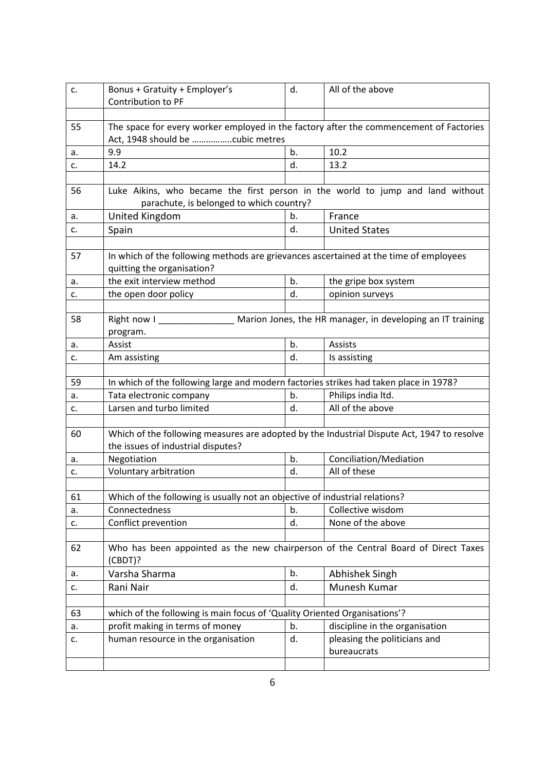| c. | Bonus + Gratuity + Employer's<br>Contribution to PF                                                                        |      | All of the above               |  |  |  |  |
|----|----------------------------------------------------------------------------------------------------------------------------|------|--------------------------------|--|--|--|--|
|    |                                                                                                                            |      |                                |  |  |  |  |
| 55 | The space for every worker employed in the factory after the commencement of Factories<br>Act, 1948 should be cubic metres |      |                                |  |  |  |  |
| a. | 9.9                                                                                                                        | 10.2 |                                |  |  |  |  |
| c. | 14.2                                                                                                                       | d.   | 13.2                           |  |  |  |  |
|    |                                                                                                                            |      |                                |  |  |  |  |
| 56 | Luke Aikins, who became the first person in the world to jump and land without<br>parachute, is belonged to which country? |      |                                |  |  |  |  |
| а. | United Kingdom                                                                                                             | b.   | France                         |  |  |  |  |
| c. | Spain                                                                                                                      | d.   | <b>United States</b>           |  |  |  |  |
|    |                                                                                                                            |      |                                |  |  |  |  |
| 57 | In which of the following methods are grievances ascertained at the time of employees<br>quitting the organisation?        |      |                                |  |  |  |  |
| a. | the exit interview method                                                                                                  | b.   | the gripe box system           |  |  |  |  |
| c. | the open door policy                                                                                                       | d.   | opinion surveys                |  |  |  |  |
|    |                                                                                                                            |      |                                |  |  |  |  |
| 58 | Right now I Marion Jones, the HR manager, in developing an IT training                                                     |      |                                |  |  |  |  |
|    | program.                                                                                                                   |      |                                |  |  |  |  |
| a. | Assist                                                                                                                     | b.   | Assists                        |  |  |  |  |
| c. | Am assisting                                                                                                               | d.   | Is assisting                   |  |  |  |  |
|    |                                                                                                                            |      |                                |  |  |  |  |
| 59 | In which of the following large and modern factories strikes had taken place in 1978?                                      |      |                                |  |  |  |  |
| a. | Tata electronic company                                                                                                    | b.   | Philips india ltd.             |  |  |  |  |
| c. | Larsen and turbo limited                                                                                                   | d.   | All of the above               |  |  |  |  |
|    |                                                                                                                            |      |                                |  |  |  |  |
| 60 | Which of the following measures are adopted by the Industrial Dispute Act, 1947 to resolve                                 |      |                                |  |  |  |  |
|    | the issues of industrial disputes?                                                                                         |      |                                |  |  |  |  |
| a. | Negotiation                                                                                                                | b.   | Conciliation/Mediation         |  |  |  |  |
| c. | Voluntary arbitration                                                                                                      | d.   | All of these                   |  |  |  |  |
|    |                                                                                                                            |      |                                |  |  |  |  |
| 61 | Which of the following is usually not an objective of industrial relations?                                                |      |                                |  |  |  |  |
| а. | Connectedness                                                                                                              | b.   | Collective wisdom              |  |  |  |  |
| c. | Conflict prevention                                                                                                        | d.   | None of the above              |  |  |  |  |
|    |                                                                                                                            |      |                                |  |  |  |  |
| 62 | Who has been appointed as the new chairperson of the Central Board of Direct Taxes<br>(CBDT)?                              |      |                                |  |  |  |  |
| a. | Varsha Sharma                                                                                                              | b.   | Abhishek Singh                 |  |  |  |  |
| c. | Rani Nair                                                                                                                  | d.   | Munesh Kumar                   |  |  |  |  |
|    |                                                                                                                            |      |                                |  |  |  |  |
| 63 | which of the following is main focus of 'Quality Oriented Organisations'?                                                  |      |                                |  |  |  |  |
| a. | profit making in terms of money                                                                                            | b.   | discipline in the organisation |  |  |  |  |
| c. | human resource in the organisation                                                                                         | d.   | pleasing the politicians and   |  |  |  |  |
|    |                                                                                                                            |      | bureaucrats                    |  |  |  |  |
|    |                                                                                                                            |      |                                |  |  |  |  |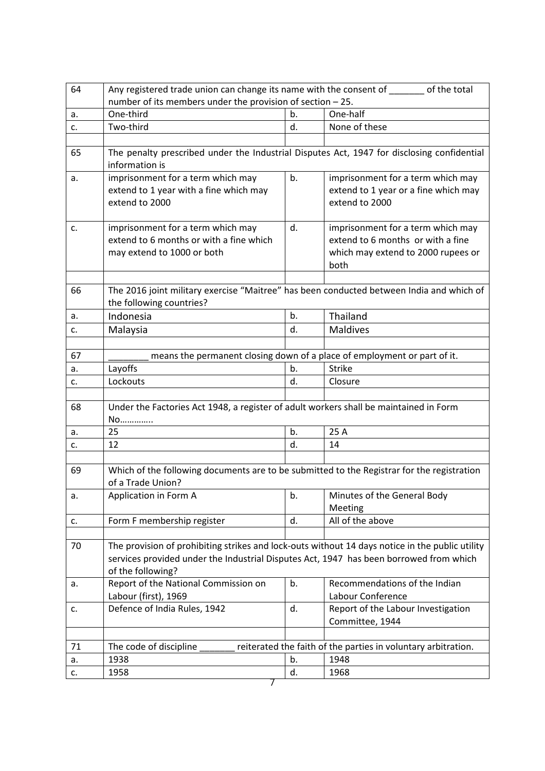| 64 | Any registered trade union can change its name with the consent of state of the total<br>number of its members under the provision of section - 25. |    |                                                                          |  |  |
|----|-----------------------------------------------------------------------------------------------------------------------------------------------------|----|--------------------------------------------------------------------------|--|--|
|    |                                                                                                                                                     |    |                                                                          |  |  |
| a. | One-third                                                                                                                                           | b. | One-half                                                                 |  |  |
| c. | Two-third                                                                                                                                           | d. | None of these                                                            |  |  |
|    |                                                                                                                                                     |    |                                                                          |  |  |
| 65 | The penalty prescribed under the Industrial Disputes Act, 1947 for disclosing confidential<br>information is                                        |    |                                                                          |  |  |
| a. | imprisonment for a term which may                                                                                                                   | b. | imprisonment for a term which may                                        |  |  |
|    | extend to 1 year with a fine which may                                                                                                              |    | extend to 1 year or a fine which may                                     |  |  |
|    | extend to 2000                                                                                                                                      |    | extend to 2000                                                           |  |  |
|    |                                                                                                                                                     |    |                                                                          |  |  |
| c. | imprisonment for a term which may                                                                                                                   | d. | imprisonment for a term which may                                        |  |  |
|    | extend to 6 months or with a fine which                                                                                                             |    | extend to 6 months or with a fine                                        |  |  |
|    | may extend to 1000 or both                                                                                                                          |    | which may extend to 2000 rupees or                                       |  |  |
|    |                                                                                                                                                     |    | both                                                                     |  |  |
|    |                                                                                                                                                     |    |                                                                          |  |  |
| 66 | The 2016 joint military exercise "Maitree" has been conducted between India and which of                                                            |    |                                                                          |  |  |
|    | the following countries?                                                                                                                            |    |                                                                          |  |  |
| a. | Indonesia                                                                                                                                           | b. | Thailand                                                                 |  |  |
| c. | Malaysia                                                                                                                                            | d. | <b>Maldives</b>                                                          |  |  |
|    |                                                                                                                                                     |    |                                                                          |  |  |
| 67 |                                                                                                                                                     |    | means the permanent closing down of a place of employment or part of it. |  |  |
| а. | Layoffs                                                                                                                                             | b. | <b>Strike</b>                                                            |  |  |
| c. | Lockouts                                                                                                                                            | d. | Closure                                                                  |  |  |
|    |                                                                                                                                                     |    |                                                                          |  |  |
| 68 | Under the Factories Act 1948, a register of adult workers shall be maintained in Form                                                               |    |                                                                          |  |  |
|    | No                                                                                                                                                  |    |                                                                          |  |  |
| a. | 25                                                                                                                                                  | b. | 25 A                                                                     |  |  |
| c. | 12                                                                                                                                                  | d. | 14                                                                       |  |  |
|    |                                                                                                                                                     |    |                                                                          |  |  |
| 69 | Which of the following documents are to be submitted to the Registrar for the registration                                                          |    |                                                                          |  |  |
|    | of a Trade Union?                                                                                                                                   |    |                                                                          |  |  |
| a. | Application in Form A                                                                                                                               | b. | Minutes of the General Body                                              |  |  |
|    |                                                                                                                                                     |    | Meeting                                                                  |  |  |
| c. | Form F membership register                                                                                                                          | d. | All of the above                                                         |  |  |
|    |                                                                                                                                                     |    |                                                                          |  |  |
| 70 | The provision of prohibiting strikes and lock-outs without 14 days notice in the public utility                                                     |    |                                                                          |  |  |
|    | services provided under the Industrial Disputes Act, 1947 has been borrowed from which                                                              |    |                                                                          |  |  |
|    | of the following?                                                                                                                                   |    |                                                                          |  |  |
| a. | Report of the National Commission on                                                                                                                | b. | Recommendations of the Indian                                            |  |  |
|    | Labour (first), 1969                                                                                                                                |    | Labour Conference                                                        |  |  |
| c. | Defence of India Rules, 1942                                                                                                                        | d. | Report of the Labour Investigation                                       |  |  |
|    |                                                                                                                                                     |    | Committee, 1944                                                          |  |  |
|    |                                                                                                                                                     |    |                                                                          |  |  |
| 71 | The code of discipline                                                                                                                              |    | reiterated the faith of the parties in voluntary arbitration.            |  |  |
| а. | 1938                                                                                                                                                | b. | 1948                                                                     |  |  |
| c. | 1958                                                                                                                                                | d. | 1968                                                                     |  |  |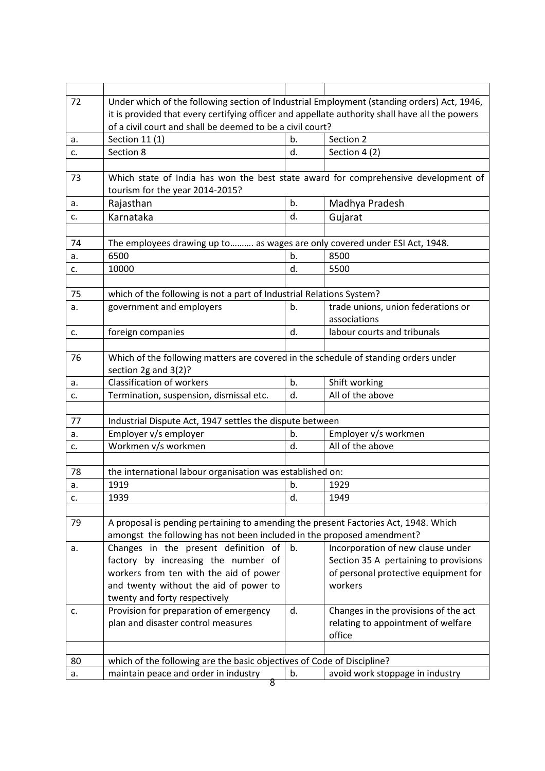| 72       | Under which of the following section of Industrial Employment (standing orders) Act, 1946,                     |    |                                       |  |  |  |  |
|----------|----------------------------------------------------------------------------------------------------------------|----|---------------------------------------|--|--|--|--|
|          | it is provided that every certifying officer and appellate authority shall have all the powers                 |    |                                       |  |  |  |  |
|          | of a civil court and shall be deemed to be a civil court?                                                      |    |                                       |  |  |  |  |
| a.       | Section 11 (1)                                                                                                 | b. | Section 2                             |  |  |  |  |
| c.       | Section 8                                                                                                      | d. | Section 4 (2)                         |  |  |  |  |
|          |                                                                                                                |    |                                       |  |  |  |  |
| 73       | Which state of India has won the best state award for comprehensive development of                             |    |                                       |  |  |  |  |
|          | tourism for the year 2014-2015?                                                                                |    |                                       |  |  |  |  |
| а.       | Rajasthan                                                                                                      | b. | Madhya Pradesh                        |  |  |  |  |
| c.       | Karnataka                                                                                                      | d. | Gujarat                               |  |  |  |  |
|          |                                                                                                                |    |                                       |  |  |  |  |
| 74       | The employees drawing up to as wages are only covered under ESI Act, 1948.                                     |    |                                       |  |  |  |  |
| a.       | 6500                                                                                                           | b. | 8500                                  |  |  |  |  |
| c.       | 10000                                                                                                          | d. | 5500                                  |  |  |  |  |
|          |                                                                                                                |    |                                       |  |  |  |  |
| 75       | which of the following is not a part of Industrial Relations System?                                           |    |                                       |  |  |  |  |
| a.       | government and employers                                                                                       | b. | trade unions, union federations or    |  |  |  |  |
|          |                                                                                                                |    | associations                          |  |  |  |  |
| c.       | foreign companies                                                                                              | d. | labour courts and tribunals           |  |  |  |  |
|          |                                                                                                                |    |                                       |  |  |  |  |
| 76       | Which of the following matters are covered in the schedule of standing orders under                            |    |                                       |  |  |  |  |
|          | section 2g and 3(2)?                                                                                           |    |                                       |  |  |  |  |
| a.       | <b>Classification of workers</b>                                                                               | b. | Shift working                         |  |  |  |  |
| c.       | Termination, suspension, dismissal etc.                                                                        | d. | All of the above                      |  |  |  |  |
|          |                                                                                                                |    |                                       |  |  |  |  |
| 77       | Industrial Dispute Act, 1947 settles the dispute between                                                       |    |                                       |  |  |  |  |
| a.       | Employer v/s employer                                                                                          | b. | Employer v/s workmen                  |  |  |  |  |
| c.       | Workmen v/s workmen                                                                                            | d. | All of the above                      |  |  |  |  |
|          |                                                                                                                |    |                                       |  |  |  |  |
| 78       | the international labour organisation was established on:                                                      |    |                                       |  |  |  |  |
| a.       | 1919                                                                                                           | b. | 1929                                  |  |  |  |  |
| c.       | 1939                                                                                                           | d. | 1949                                  |  |  |  |  |
|          |                                                                                                                |    |                                       |  |  |  |  |
| 79       | A proposal is pending pertaining to amending the present Factories Act, 1948. Which                            |    |                                       |  |  |  |  |
|          | amongst the following has not been included in the proposed amendment?                                         |    |                                       |  |  |  |  |
| a.       | Changes in the present definition of                                                                           | b. | Incorporation of new clause under     |  |  |  |  |
|          | factory by increasing the number of                                                                            |    | Section 35 A pertaining to provisions |  |  |  |  |
|          | workers from ten with the aid of power                                                                         |    | of personal protective equipment for  |  |  |  |  |
|          | and twenty without the aid of power to                                                                         |    | workers                               |  |  |  |  |
|          | twenty and forty respectively                                                                                  |    |                                       |  |  |  |  |
| c.       | Provision for preparation of emergency                                                                         | d. | Changes in the provisions of the act  |  |  |  |  |
|          | plan and disaster control measures                                                                             |    | relating to appointment of welfare    |  |  |  |  |
|          |                                                                                                                |    | office                                |  |  |  |  |
|          |                                                                                                                |    |                                       |  |  |  |  |
|          |                                                                                                                |    |                                       |  |  |  |  |
|          |                                                                                                                | b. |                                       |  |  |  |  |
| 80<br>a. | which of the following are the basic objectives of Code of Discipline?<br>maintain peace and order in industry |    | avoid work stoppage in industry       |  |  |  |  |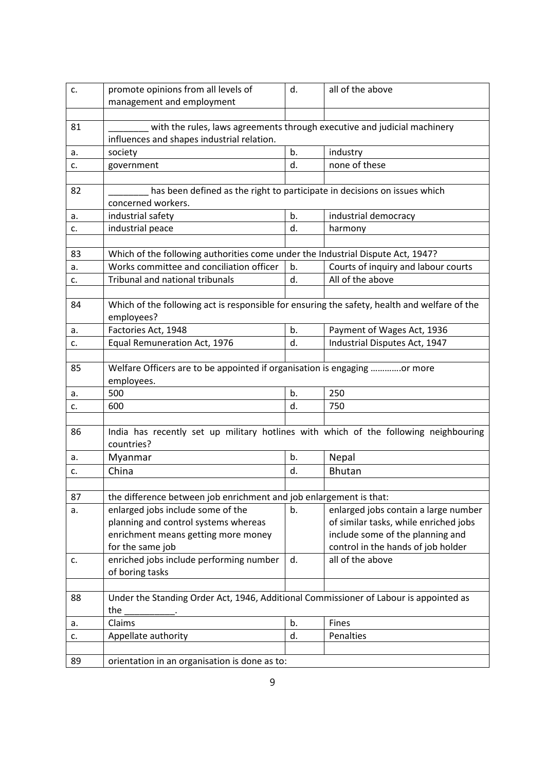| c. | promote opinions from all levels of<br>management and employment                                                       | all of the above              |                                       |  |  |  |  |
|----|------------------------------------------------------------------------------------------------------------------------|-------------------------------|---------------------------------------|--|--|--|--|
|    |                                                                                                                        |                               |                                       |  |  |  |  |
| 81 | with the rules, laws agreements through executive and judicial machinery<br>influences and shapes industrial relation. |                               |                                       |  |  |  |  |
| a. | society                                                                                                                | b.<br>industry                |                                       |  |  |  |  |
| c. | none of these<br>d.<br>government                                                                                      |                               |                                       |  |  |  |  |
| 82 | has been defined as the right to participate in decisions on issues which<br>concerned workers.                        |                               |                                       |  |  |  |  |
| а. | industrial safety                                                                                                      | b.                            | industrial democracy                  |  |  |  |  |
| c. | industrial peace                                                                                                       | d.                            | harmony                               |  |  |  |  |
|    |                                                                                                                        |                               |                                       |  |  |  |  |
| 83 | Which of the following authorities come under the Industrial Dispute Act, 1947?                                        |                               |                                       |  |  |  |  |
| a. | Works committee and conciliation officer                                                                               | b.                            | Courts of inquiry and labour courts   |  |  |  |  |
| c. | <b>Tribunal and national tribunals</b>                                                                                 | d.                            | All of the above                      |  |  |  |  |
|    |                                                                                                                        |                               |                                       |  |  |  |  |
| 84 | Which of the following act is responsible for ensuring the safety, health and welfare of the<br>employees?             |                               |                                       |  |  |  |  |
| а. | Factories Act, 1948                                                                                                    | b.                            | Payment of Wages Act, 1936            |  |  |  |  |
| c. | Equal Remuneration Act, 1976                                                                                           | Industrial Disputes Act, 1947 |                                       |  |  |  |  |
| 85 | Welfare Officers are to be appointed if organisation is engaging or more<br>employees.                                 |                               |                                       |  |  |  |  |
| a. | 500                                                                                                                    | b.                            | 250                                   |  |  |  |  |
| c. | 600                                                                                                                    | d.                            | 750                                   |  |  |  |  |
|    |                                                                                                                        |                               |                                       |  |  |  |  |
| 86 | India has recently set up military hotlines with which of the following neighbouring<br>countries?                     |                               |                                       |  |  |  |  |
| а. | Myanmar                                                                                                                | b.                            | Nepal                                 |  |  |  |  |
| c. | China                                                                                                                  | d.                            | <b>Bhutan</b>                         |  |  |  |  |
|    |                                                                                                                        |                               |                                       |  |  |  |  |
| 87 | the difference between job enrichment and job enlargement is that:                                                     |                               |                                       |  |  |  |  |
| a. | enlarged jobs include some of the                                                                                      | b.                            | enlarged jobs contain a large number  |  |  |  |  |
|    | planning and control systems whereas                                                                                   |                               | of similar tasks, while enriched jobs |  |  |  |  |
|    | enrichment means getting more money                                                                                    |                               | include some of the planning and      |  |  |  |  |
|    | for the same job                                                                                                       |                               | control in the hands of job holder    |  |  |  |  |
| c. | enriched jobs include performing number                                                                                | d.                            | all of the above                      |  |  |  |  |
|    | of boring tasks                                                                                                        |                               |                                       |  |  |  |  |
| 88 | Under the Standing Order Act, 1946, Additional Commissioner of Labour is appointed as<br>the                           |                               |                                       |  |  |  |  |
| а. | Claims                                                                                                                 | b.                            | Fines                                 |  |  |  |  |
| c. | Appellate authority                                                                                                    | d.                            | Penalties                             |  |  |  |  |
|    |                                                                                                                        |                               |                                       |  |  |  |  |
| 89 | orientation in an organisation is done as to:                                                                          |                               |                                       |  |  |  |  |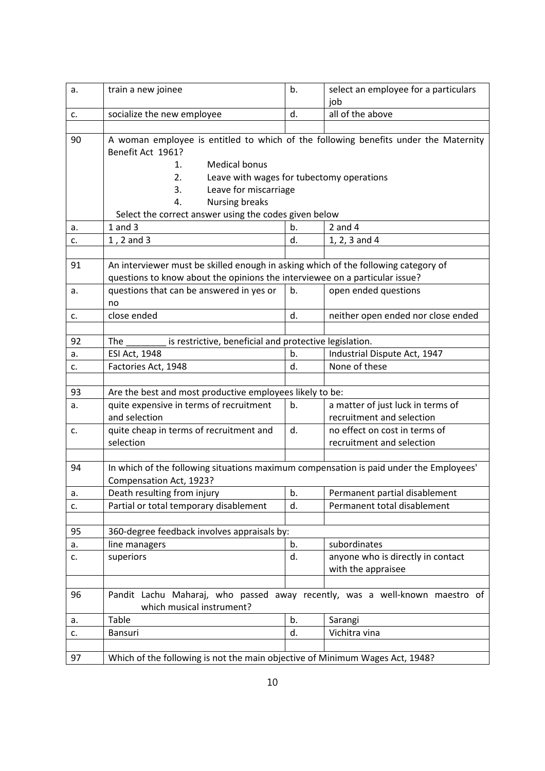| a. | train a new joinee                                                                     | b.               | select an employee for a particulars |  |  |  |
|----|----------------------------------------------------------------------------------------|------------------|--------------------------------------|--|--|--|
|    |                                                                                        |                  | job<br>all of the above              |  |  |  |
| c. | socialize the new employee                                                             | d.               |                                      |  |  |  |
| 90 | A woman employee is entitled to which of the following benefits under the Maternity    |                  |                                      |  |  |  |
|    | Benefit Act 1961?                                                                      |                  |                                      |  |  |  |
|    | <b>Medical bonus</b><br>1.                                                             |                  |                                      |  |  |  |
|    | Leave with wages for tubectomy operations<br>2.                                        |                  |                                      |  |  |  |
|    | Leave for miscarriage<br>3.                                                            |                  |                                      |  |  |  |
|    | <b>Nursing breaks</b><br>4.                                                            |                  |                                      |  |  |  |
|    | Select the correct answer using the codes given below                                  |                  |                                      |  |  |  |
| a. | $1$ and $3$                                                                            | b.               | $2$ and $4$                          |  |  |  |
| c. | 1, 2 and 3                                                                             | d.               | 1, 2, 3 and 4                        |  |  |  |
|    |                                                                                        |                  |                                      |  |  |  |
| 91 | An interviewer must be skilled enough in asking which of the following category of     |                  |                                      |  |  |  |
|    | questions to know about the opinions the interviewee on a particular issue?            |                  |                                      |  |  |  |
| a. | questions that can be answered in yes or                                               | b.               | open ended questions                 |  |  |  |
|    | no                                                                                     |                  |                                      |  |  |  |
| c. | close ended                                                                            | d.               | neither open ended nor close ended   |  |  |  |
|    |                                                                                        |                  |                                      |  |  |  |
| 92 | is restrictive, beneficial and protective legislation.<br>The                          |                  |                                      |  |  |  |
| a. | ESI Act, 1948                                                                          | b.               | Industrial Dispute Act, 1947         |  |  |  |
| c. | Factories Act, 1948                                                                    | d.               | None of these                        |  |  |  |
|    |                                                                                        |                  |                                      |  |  |  |
| 93 | Are the best and most productive employees likely to be:                               |                  |                                      |  |  |  |
| a. | quite expensive in terms of recruitment                                                | b.               | a matter of just luck in terms of    |  |  |  |
|    | and selection<br>recruitment and selection                                             |                  |                                      |  |  |  |
| c. | quite cheap in terms of recruitment and                                                | d.               | no effect on cost in terms of        |  |  |  |
|    | selection                                                                              |                  | recruitment and selection            |  |  |  |
|    |                                                                                        |                  |                                      |  |  |  |
| 94 | In which of the following situations maximum compensation is paid under the Employees' |                  |                                      |  |  |  |
|    | Compensation Act, 1923?                                                                |                  |                                      |  |  |  |
| a. | Death resulting from injury                                                            | $\overline{b}$ . | Permanent partial disablement        |  |  |  |
| c. | Partial or total temporary disablement                                                 | d.               | Permanent total disablement          |  |  |  |
|    |                                                                                        |                  |                                      |  |  |  |
| 95 | 360-degree feedback involves appraisals by:                                            |                  |                                      |  |  |  |
| a. | line managers                                                                          | b.               | subordinates                         |  |  |  |
| c. | superiors                                                                              | d.               | anyone who is directly in contact    |  |  |  |
|    |                                                                                        |                  | with the appraisee                   |  |  |  |
|    |                                                                                        |                  |                                      |  |  |  |
| 96 | Pandit Lachu Maharaj, who passed away recently, was a well-known maestro of            |                  |                                      |  |  |  |
|    | which musical instrument?                                                              |                  |                                      |  |  |  |
| a. | Table                                                                                  | b.               | Sarangi                              |  |  |  |
| c. | Bansuri                                                                                | d.               | Vichitra vina                        |  |  |  |
|    |                                                                                        |                  |                                      |  |  |  |
| 97 | Which of the following is not the main objective of Minimum Wages Act, 1948?           |                  |                                      |  |  |  |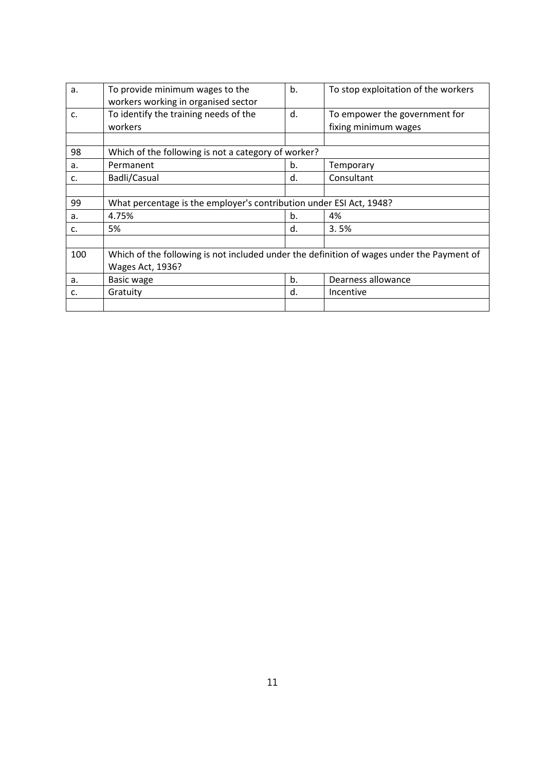| a.  | To provide minimum wages to the                                                           | b. | To stop exploitation of the workers |  |
|-----|-------------------------------------------------------------------------------------------|----|-------------------------------------|--|
|     | workers working in organised sector                                                       |    |                                     |  |
| C.  | To identify the training needs of the                                                     | d. | To empower the government for       |  |
|     | workers                                                                                   |    | fixing minimum wages                |  |
|     |                                                                                           |    |                                     |  |
| 98  | Which of the following is not a category of worker?                                       |    |                                     |  |
| a.  | Permanent                                                                                 | b. | Temporary                           |  |
| c.  | Badli/Casual                                                                              | d. | Consultant                          |  |
|     |                                                                                           |    |                                     |  |
| 99  | What percentage is the employer's contribution under ESI Act, 1948?                       |    |                                     |  |
| a.  | 4.75%                                                                                     | b. | 4%                                  |  |
| c.  | 5%                                                                                        | d. | 3.5%                                |  |
|     |                                                                                           |    |                                     |  |
| 100 | Which of the following is not included under the definition of wages under the Payment of |    |                                     |  |
|     | Wages Act, 1936?                                                                          |    |                                     |  |
| a.  | <b>Basic wage</b>                                                                         | b. | Dearness allowance                  |  |
| c.  | Gratuity                                                                                  | d. | Incentive                           |  |
|     |                                                                                           |    |                                     |  |